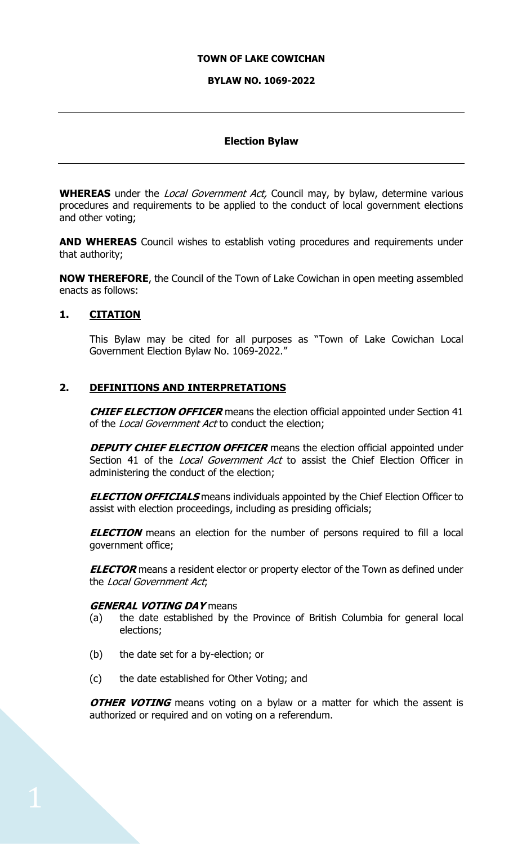#### **TOWN OF LAKE COWICHAN**

#### **BYLAW NO. 1069-2022**

#### **Election Bylaw**

**WHEREAS** under the *Local Government Act*, Council may, by bylaw, determine various procedures and requirements to be applied to the conduct of local government elections and other voting;

**AND WHEREAS** Council wishes to establish voting procedures and requirements under that authority;

**NOW THEREFORE**, the Council of the Town of Lake Cowichan in open meeting assembled enacts as follows:

#### **1. CITATION**

This Bylaw may be cited for all purposes as "Town of Lake Cowichan Local Government Election Bylaw No. 1069-2022."

#### **2. DEFINITIONS AND INTERPRETATIONS**

**CHIEF ELECTION OFFICER** means the election official appointed under Section 41 of the Local Government Act to conduct the election;

**DEPUTY CHIEF ELECTION OFFICER** means the election official appointed under Section 41 of the *Local Government Act* to assist the Chief Election Officer in administering the conduct of the election;

**ELECTION OFFICIALS** means individuals appointed by the Chief Election Officer to assist with election proceedings, including as presiding officials;

**ELECTION** means an election for the number of persons required to fill a local government office;

**ELECTOR** means a resident elector or property elector of the Town as defined under the Local Government Act;

#### **GENERAL VOTING DAY** means

- (a) the date established by the Province of British Columbia for general local elections;
- (b) the date set for a by-election; or
- (c) the date established for Other Voting; and

**OTHER VOTING** means voting on a bylaw or a matter for which the assent is authorized or required and on voting on a referendum.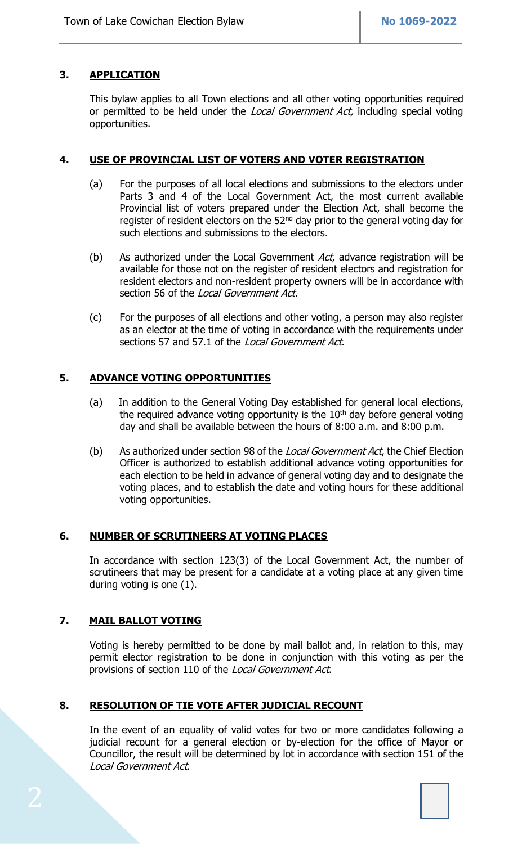# **3. APPLICATION**

This bylaw applies to all Town elections and all other voting opportunities required or permitted to be held under the *Local Government Act*, including special voting opportunities.

## **4. USE OF PROVINCIAL LIST OF VOTERS AND VOTER REGISTRATION**

- (a) For the purposes of all local elections and submissions to the electors under Parts 3 and 4 of the Local Government Act, the most current available Provincial list of voters prepared under the Election Act, shall become the register of resident electors on the  $52<sup>nd</sup>$  day prior to the general voting day for such elections and submissions to the electors.
- (b) As authorized under the Local Government  $Act$ , advance registration will be available for those not on the register of resident electors and registration for resident electors and non-resident property owners will be in accordance with section 56 of the Local Government Act.
- (c) For the purposes of all elections and other voting, a person may also register as an elector at the time of voting in accordance with the requirements under sections 57 and 57.1 of the Local Government Act.

## **5. ADVANCE VOTING OPPORTUNITIES**

- (a) In addition to the General Voting Day established for general local elections, the required advance voting opportunity is the  $10<sup>th</sup>$  day before general voting day and shall be available between the hours of 8:00 a.m. and 8:00 p.m.
- (b) As authorized under section 98 of the Local Government Act, the Chief Election Officer is authorized to establish additional advance voting opportunities for each election to be held in advance of general voting day and to designate the voting places, and to establish the date and voting hours for these additional voting opportunities.

## **6. NUMBER OF SCRUTINEERS AT VOTING PLACES**

In accordance with section 123(3) of the Local Government Act, the number of scrutineers that may be present for a candidate at a voting place at any given time during voting is one (1).

## **7. MAIL BALLOT VOTING**

 Voting is hereby permitted to be done by mail ballot and, in relation to this, may permit elector registration to be done in conjunction with this voting as per the provisions of section 110 of the *Local Government Act*.

## **8. RESOLUTION OF TIE VOTE AFTER JUDICIAL RECOUNT**

In the event of an equality of valid votes for two or more candidates following a judicial recount for a general election or by-election for the office of Mayor or Councillor, the result will be determined by lot in accordance with section 151 of the Local Government Act.